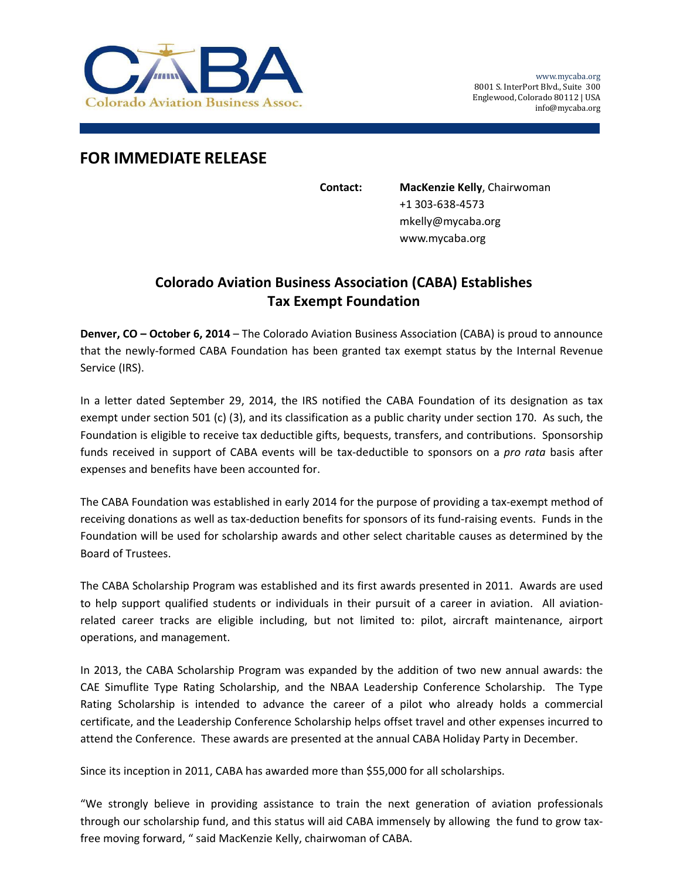

## **FOR IMMEDIATE RELEASE**

**Contact: MacKenzie Kelly**, Chairwoman +1 303‐638‐4573 mkelly@mycaba.org www.mycaba.org

## **Colorado Aviation Business Association (CABA) Establishes Tax Exempt Foundation**

**Denver, CO – October 6, 2014** – The Colorado Aviation Business Association (CABA) is proud to announce that the newly‐formed CABA Foundation has been granted tax exempt status by the Internal Revenue Service (IRS).

In a letter dated September 29, 2014, the IRS notified the CABA Foundation of its designation as tax exempt under section 501 (c) (3), and its classification as a public charity under section 170. As such, the Foundation is eligible to receive tax deductible gifts, bequests, transfers, and contributions. Sponsorship funds received in support of CABA events will be tax‐deductible to sponsors on a *pro rata* basis after expenses and benefits have been accounted for.

The CABA Foundation was established in early 2014 for the purpose of providing a tax‐exempt method of receiving donations as well as tax‐deduction benefits for sponsors of its fund‐raising events. Funds in the Foundation will be used for scholarship awards and other select charitable causes as determined by the Board of Trustees.

The CABA Scholarship Program was established and its first awards presented in 2011. Awards are used to help support qualified students or individuals in their pursuit of a career in aviation. All aviationrelated career tracks are eligible including, but not limited to: pilot, aircraft maintenance, airport operations, and management.

In 2013, the CABA Scholarship Program was expanded by the addition of two new annual awards: the CAE Simuflite Type Rating Scholarship, and the NBAA Leadership Conference Scholarship. The Type Rating Scholarship is intended to advance the career of a pilot who already holds a commercial certificate, and the Leadership Conference Scholarship helps offset travel and other expenses incurred to attend the Conference. These awards are presented at the annual CABA Holiday Party in December.

Since its inception in 2011, CABA has awarded more than \$55,000 for all scholarships.

"We strongly believe in providing assistance to train the next generation of aviation professionals through our scholarship fund, and this status will aid CABA immensely by allowing the fund to grow tax‐ free moving forward, " said MacKenzie Kelly, chairwoman of CABA.